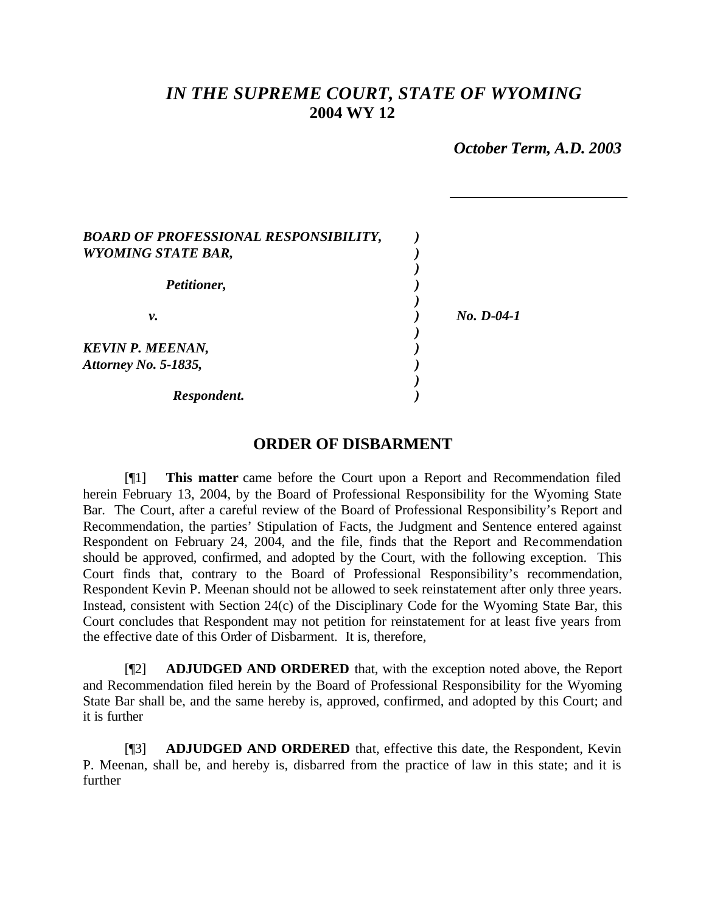# *IN THE SUPREME COURT, STATE OF WYOMING* **2004 WY 12**

*October Term, A.D. 2003*

| <b>BOARD OF PROFESSIONAL RESPONSIBILITY,</b><br><b>WYOMING STATE BAR,</b> |              |
|---------------------------------------------------------------------------|--------------|
| Petitioner,                                                               |              |
| ν.                                                                        | $No. D-04-1$ |
| <b>KEVIN P. MEENAN,</b><br>Attorney No. 5-1835,                           |              |
| Respondent.                                                               |              |

## **ORDER OF DISBARMENT**

[¶1] **This matter** came before the Court upon a Report and Recommendation filed herein February 13, 2004, by the Board of Professional Responsibility for the Wyoming State Bar. The Court, after a careful review of the Board of Professional Responsibility's Report and Recommendation, the parties' Stipulation of Facts, the Judgment and Sentence entered against Respondent on February 24, 2004, and the file, finds that the Report and Recommendation should be approved, confirmed, and adopted by the Court, with the following exception. This Court finds that, contrary to the Board of Professional Responsibility's recommendation, Respondent Kevin P. Meenan should not be allowed to seek reinstatement after only three years. Instead, consistent with Section 24(c) of the Disciplinary Code for the Wyoming State Bar, this Court concludes that Respondent may not petition for reinstatement for at least five years from the effective date of this Order of Disbarment. It is, therefore,

[¶2] **ADJUDGED AND ORDERED** that, with the exception noted above, the Report and Recommendation filed herein by the Board of Professional Responsibility for the Wyoming State Bar shall be, and the same hereby is, approved, confirmed, and adopted by this Court; and it is further

[¶3] **ADJUDGED AND ORDERED** that, effective this date, the Respondent, Kevin P. Meenan, shall be, and hereby is, disbarred from the practice of law in this state; and it is further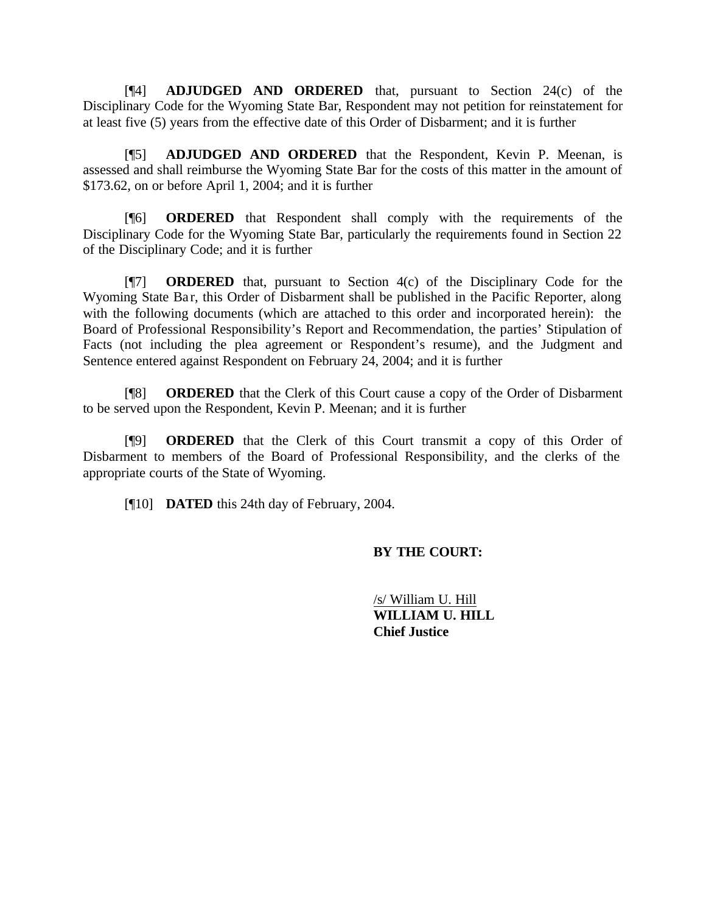[¶4] **ADJUDGED AND ORDERED** that, pursuant to Section 24(c) of the Disciplinary Code for the Wyoming State Bar, Respondent may not petition for reinstatement for at least five (5) years from the effective date of this Order of Disbarment; and it is further

[¶5] **ADJUDGED AND ORDERED** that the Respondent, Kevin P. Meenan, is assessed and shall reimburse the Wyoming State Bar for the costs of this matter in the amount of \$173.62, on or before April 1, 2004; and it is further

[¶6] **ORDERED** that Respondent shall comply with the requirements of the Disciplinary Code for the Wyoming State Bar, particularly the requirements found in Section 22 of the Disciplinary Code; and it is further

[¶7] **ORDERED** that, pursuant to Section 4(c) of the Disciplinary Code for the Wyoming State Bar, this Order of Disbarment shall be published in the Pacific Reporter, along with the following documents (which are attached to this order and incorporated herein): the Board of Professional Responsibility's Report and Recommendation, the parties' Stipulation of Facts (not including the plea agreement or Respondent's resume), and the Judgment and Sentence entered against Respondent on February 24, 2004; and it is further

[¶8] **ORDERED** that the Clerk of this Court cause a copy of the Order of Disbarment to be served upon the Respondent, Kevin P. Meenan; and it is further

[¶9] **ORDERED** that the Clerk of this Court transmit a copy of this Order of Disbarment to members of the Board of Professional Responsibility, and the clerks of the appropriate courts of the State of Wyoming.

[¶10] **DATED** this 24th day of February, 2004.

## **BY THE COURT:**

/s/ William U. Hill **WILLIAM U. HILL Chief Justice**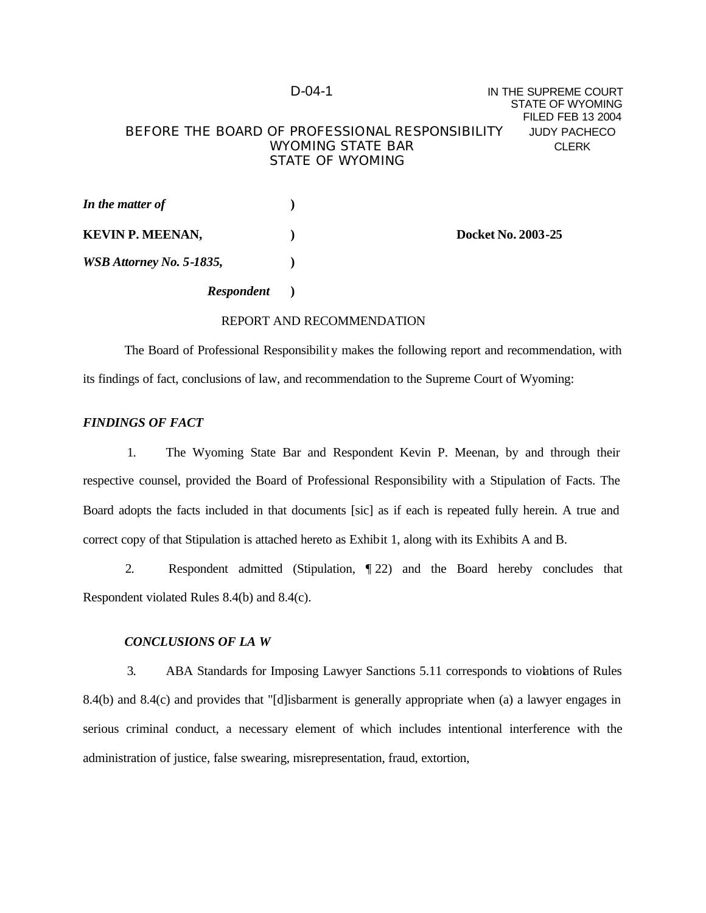## D-04-1 **IN THE SUPREME COURT** STATE OF WYOMING FILED FEB 13 2004 BEFORE THE BOARD OF PROFESSIONAL RESPONSIBILITY JUDY PACHECO WYOMING STATE BAR CLERK STATE OF WYOMING

| In the matter of         |                           |
|--------------------------|---------------------------|
| <b>KEVIN P. MEENAN,</b>  | <b>Docket No. 2003-25</b> |
| WSB Attorney No. 5-1835, |                           |

## *Respondent* **)**

#### REPORT AND RECOMMENDATION

The Board of Professional Responsibility makes the following report and recommendation, with its findings of fact, conclusions of law, and recommendation to the Supreme Court of Wyoming:

#### *FINDINGS OF FACT*

1. The Wyoming State Bar and Respondent Kevin P. Meenan, by and through their respective counsel, provided the Board of Professional Responsibility with a Stipulation of Facts. The Board adopts the facts included in that documents [sic] as if each is repeated fully herein. A true and correct copy of that Stipulation is attached hereto as Exhibit 1, along with its Exhibits A and B.

2. Respondent admitted (Stipulation, ¶ 22) and the Board hereby concludes that Respondent violated Rules 8.4(b) and 8.4(c).

#### *CONCLUSIONS OF LA W*

3. ABA Standards for Imposing Lawyer Sanctions 5.11 corresponds to violations of Rules 8.4(b) and 8.4(c) and provides that "[d]isbarment is generally appropriate when (a) a lawyer engages in serious criminal conduct, a necessary element of which includes intentional interference with the administration of justice, false swearing, misrepresentation, fraud, extortion,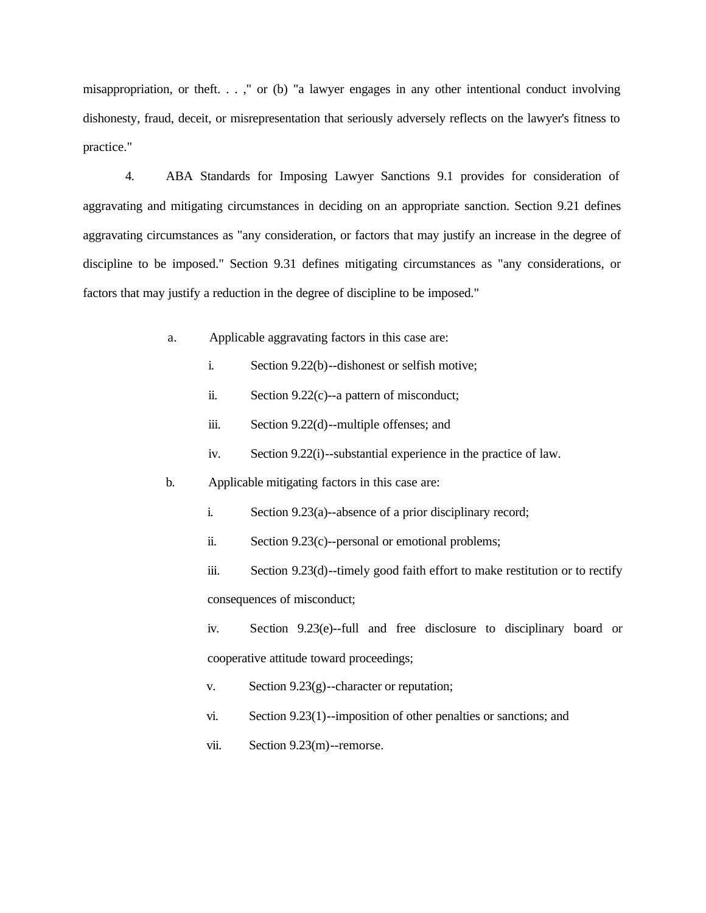misappropriation, or theft. . . ," or (b) "a lawyer engages in any other intentional conduct involving dishonesty, fraud, deceit, or misrepresentation that seriously adversely reflects on the lawyer's fitness to practice."

4. ABA Standards for Imposing Lawyer Sanctions 9.1 provides for consideration of aggravating and mitigating circumstances in deciding on an appropriate sanction. Section 9.21 defines aggravating circumstances as "any consideration, or factors that may justify an increase in the degree of discipline to be imposed." Section 9.31 defines mitigating circumstances as "any considerations, or factors that may justify a reduction in the degree of discipline to be imposed."

- a. Applicable aggravating factors in this case are:
	- i. Section 9.22(b)--dishonest or selfish motive;

ii. Section 9.22(c)--a pattern of misconduct;

- iii. Section 9.22(d)--multiple offenses; and
- iv. Section 9.22(i)--substantial experience in the practice of law.
- b. Applicable mitigating factors in this case are:
	- i. Section 9.23(a)--absence of a prior disciplinary record;

ii. Section 9.23(c)--personal or emotional problems;

iii. Section 9.23(d)--timely good faith effort to make restitution or to rectify consequences of misconduct;

iv. Section 9.23(e)--full and free disclosure to disciplinary board or cooperative attitude toward proceedings;

v. Section 9.23(g)--character or reputation;

- vi. Section 9.23(1)--imposition of other penalties or sanctions; and
- vii. Section 9.23(m)--remorse.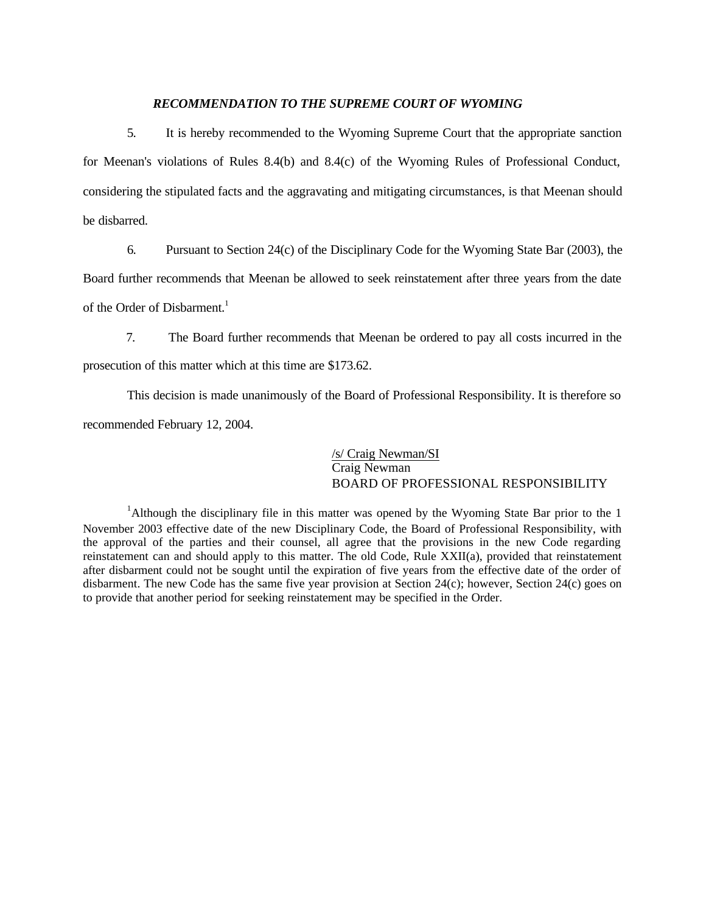#### *RECOMMENDATION TO THE SUPREME COURT OF WYOMING*

5. It is hereby recommended to the Wyoming Supreme Court that the appropriate sanction for Meenan's violations of Rules 8.4(b) and 8.4(c) of the Wyoming Rules of Professional Conduct, considering the stipulated facts and the aggravating and mitigating circumstances, is that Meenan should be disbarred.

6. Pursuant to Section 24(c) of the Disciplinary Code for the Wyoming State Bar (2003), the

Board further recommends that Meenan be allowed to seek reinstatement after three years from the date

of the Order of Disbarment.<sup>1</sup>

7. The Board further recommends that Meenan be ordered to pay all costs incurred in the prosecution of this matter which at this time are \$173.62.

This decision is made unanimously of the Board of Professional Responsibility. It is therefore so recommended February 12, 2004.

> /s/ Craig Newman/SI Craig Newman BOARD OF PROFESSIONAL RESPONSIBILITY

<sup>1</sup>Although the disciplinary file in this matter was opened by the Wyoming State Bar prior to the 1 November 2003 effective date of the new Disciplinary Code, the Board of Professional Responsibility, with the approval of the parties and their counsel, all agree that the provisions in the new Code regarding reinstatement can and should apply to this matter. The old Code, Rule XXII(a), provided that reinstatement after disbarment could not be sought until the expiration of five years from the effective date of the order of disbarment. The new Code has the same five year provision at Section 24(c); however, Section 24(c) goes on to provide that another period for seeking reinstatement may be specified in the Order.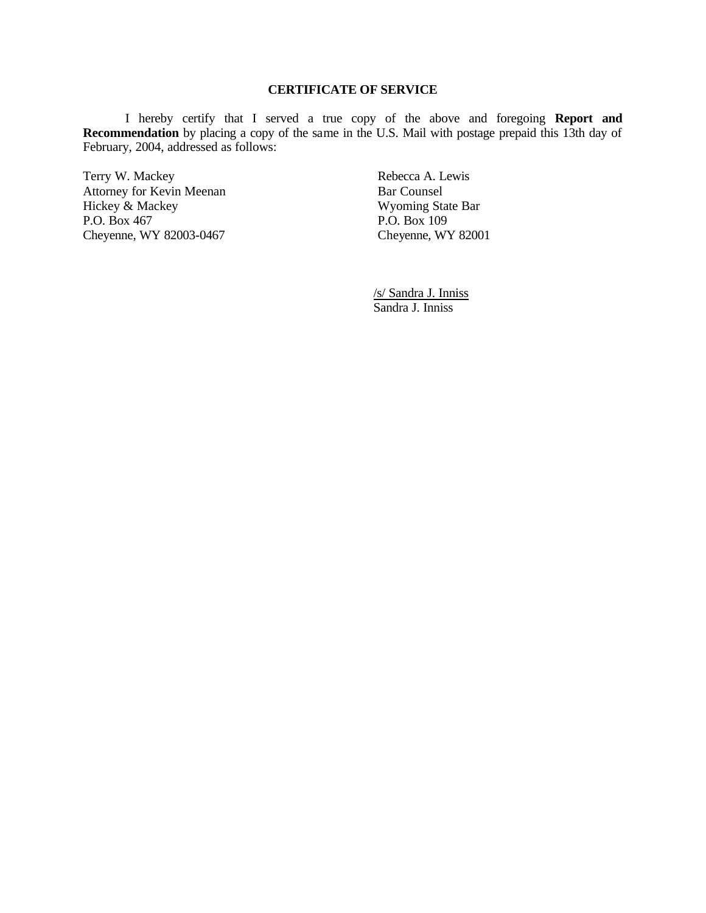## **CERTIFICATE OF SERVICE**

I hereby certify that I served a true copy of the above and foregoing **Report and Recommendation** by placing a copy of the same in the U.S. Mail with postage prepaid this 13th day of February, 2004, addressed as follows:

Terry W. Mackey **Rebecca A. Lewis** Attorney for Kevin Meenan Bar Counsel Hickey & Mackey Wyoming State Bar P.O. Box 467<br>
Cheyenne, WY 82003-0467<br>
Cheyenne, WY 82001 Cheyenne, WY 82003-0467

/s/ Sandra J. Inniss Sandra J. Inniss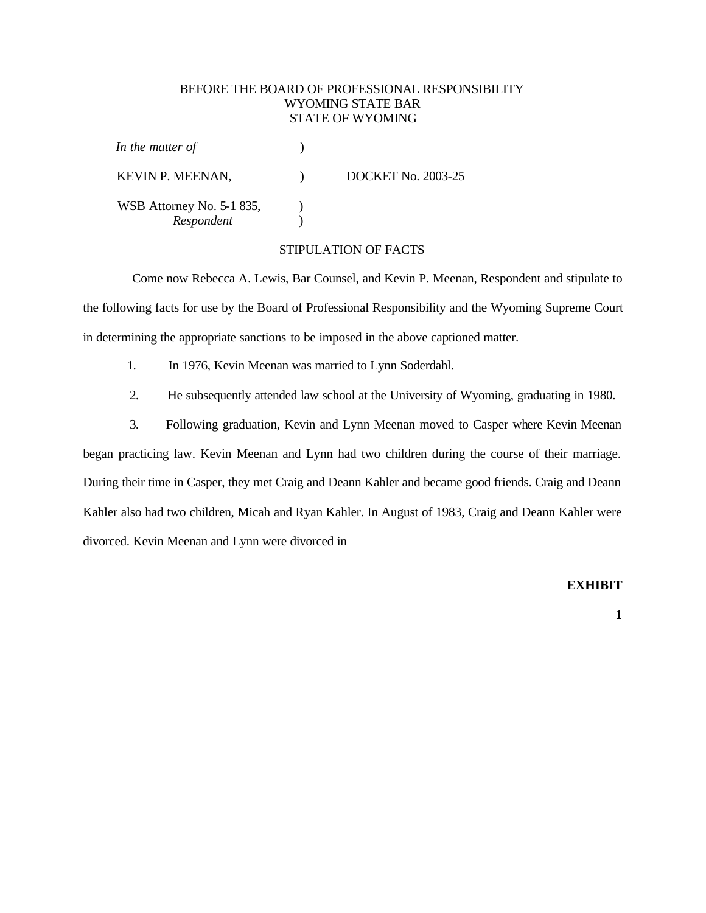#### BEFORE THE BOARD OF PROFESSIONAL RESPONSIBILITY WYOMING STATE BAR STATE OF WYOMING

| In the matter of                        |                           |
|-----------------------------------------|---------------------------|
| <b>KEVIN P. MEENAN,</b>                 | <b>DOCKET No. 2003-25</b> |
| WSB Attorney No. 5-1 835,<br>Respondent |                           |

#### STIPULATION OF FACTS

Come now Rebecca A. Lewis, Bar Counsel, and Kevin P. Meenan, Respondent and stipulate to the following facts for use by the Board of Professional Responsibility and the Wyoming Supreme Court in determining the appropriate sanctions to be imposed in the above captioned matter.

1. In 1976, Kevin Meenan was married to Lynn Soderdahl.

2. He subsequently attended law school at the University of Wyoming, graduating in 1980.

3. Following graduation, Kevin and Lynn Meenan moved to Casper where Kevin Meenan began practicing law. Kevin Meenan and Lynn had two children during the course of their marriage. During their time in Casper, they met Craig and Deann Kahler and became good friends. Craig and Deann Kahler also had two children, Micah and Ryan Kahler. In August of 1983, Craig and Deann Kahler were divorced. Kevin Meenan and Lynn were divorced in

#### **EXHIBIT**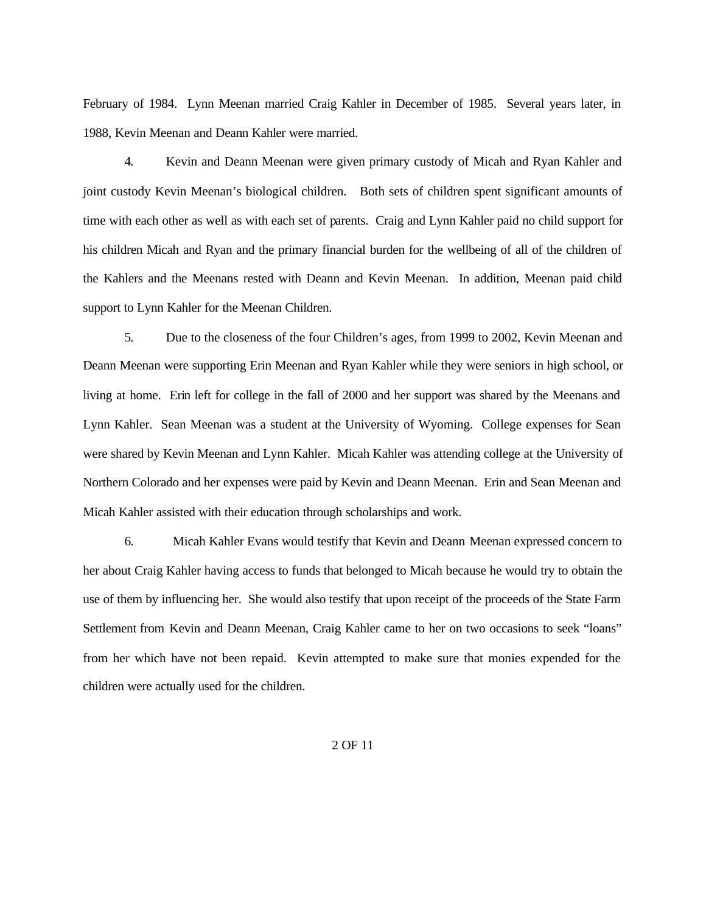February of 1984. Lynn Meenan married Craig Kahler in December of 1985. Several years later, in 1988, Kevin Meenan and Deann Kahler were married.

4. Kevin and Deann Meenan were given primary custody of Micah and Ryan Kahler and joint custody Kevin Meenan's biological children. Both sets of children spent significant amounts of time with each other as well as with each set of parents. Craig and Lynn Kahler paid no child support for his children Micah and Ryan and the primary financial burden for the wellbeing of all of the children of the Kahlers and the Meenans rested with Deann and Kevin Meenan. In addition, Meenan paid child support to Lynn Kahler for the Meenan Children.

5. Due to the closeness of the four Children's ages, from 1999 to 2002, Kevin Meenan and Deann Meenan were supporting Erin Meenan and Ryan Kahler while they were seniors in high school, or living at home. Erin left for college in the fall of 2000 and her support was shared by the Meenans and Lynn Kahler. Sean Meenan was a student at the University of Wyoming. College expenses for Sean were shared by Kevin Meenan and Lynn Kahler. Micah Kahler was attending college at the University of Northern Colorado and her expenses were paid by Kevin and Deann Meenan. Erin and Sean Meenan and Micah Kahler assisted with their education through scholarships and work.

6. Micah Kahler Evans would testify that Kevin and Deann Meenan expressed concern to her about Craig Kahler having access to funds that belonged to Micah because he would try to obtain the use of them by influencing her. She would also testify that upon receipt of the proceeds of the State Farm Settlement from Kevin and Deann Meenan, Craig Kahler came to her on two occasions to seek "loans" from her which have not been repaid. Kevin attempted to make sure that monies expended for the children were actually used for the children.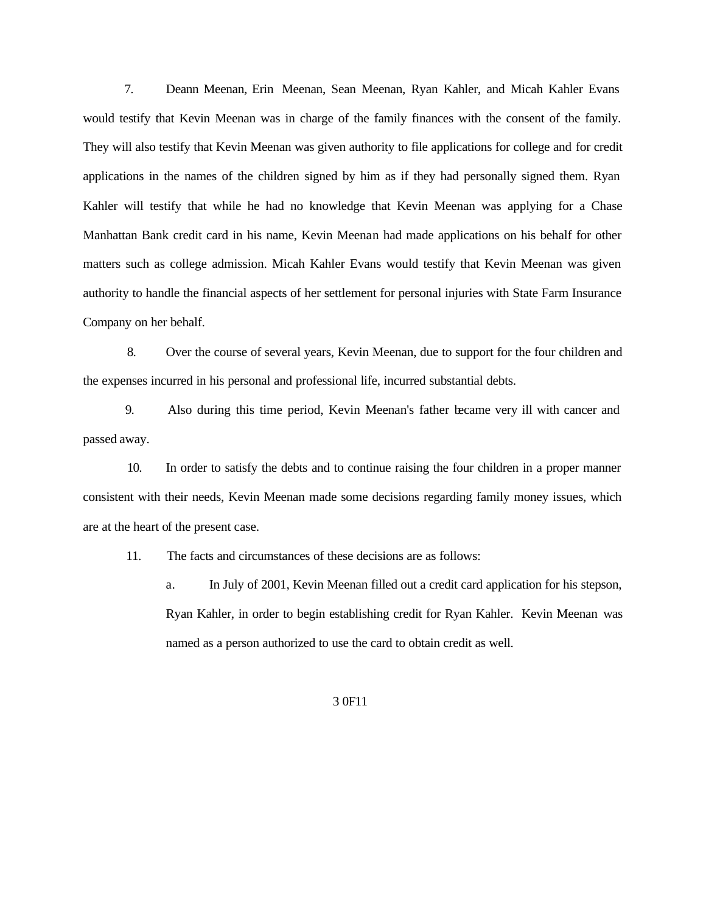7. Deann Meenan, Erin Meenan, Sean Meenan, Ryan Kahler, and Micah Kahler Evans would testify that Kevin Meenan was in charge of the family finances with the consent of the family. They will also testify that Kevin Meenan was given authority to file applications for college and for credit applications in the names of the children signed by him as if they had personally signed them. Ryan Kahler will testify that while he had no knowledge that Kevin Meenan was applying for a Chase Manhattan Bank credit card in his name, Kevin Meenan had made applications on his behalf for other matters such as college admission. Micah Kahler Evans would testify that Kevin Meenan was given authority to handle the financial aspects of her settlement for personal injuries with State Farm Insurance Company on her behalf.

8. Over the course of several years, Kevin Meenan, due to support for the four children and the expenses incurred in his personal and professional life, incurred substantial debts.

9. Also during this time period, Kevin Meenan's father became very ill with cancer and passed away.

10. In order to satisfy the debts and to continue raising the four children in a proper manner consistent with their needs, Kevin Meenan made some decisions regarding family money issues, which are at the heart of the present case.

11. The facts and circumstances of these decisions are as follows:

a. In July of 2001, Kevin Meenan filled out a credit card application for his stepson, Ryan Kahler, in order to begin establishing credit for Ryan Kahler. Kevin Meenan was named as a person authorized to use the card to obtain credit as well.

#### 3 0F11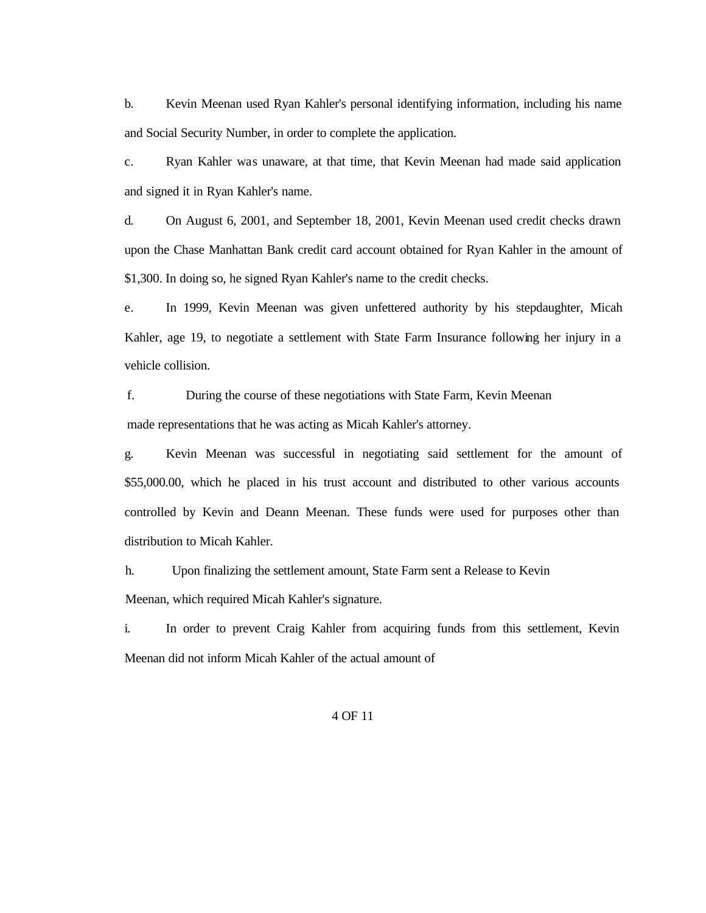b. Kevin Meenan used Ryan Kahler's personal identifying information, including his name and Social Security Number, in order to complete the application.

c. Ryan Kahler was unaware, at that time, that Kevin Meenan had made said application and signed it in Ryan Kahler's name.

d. On August 6, 2001, and September 18, 2001, Kevin Meenan used credit checks drawn upon the Chase Manhattan Bank credit card account obtained for Ryan Kahler in the amount of \$1,300. In doing so, he signed Ryan Kahler's name to the credit checks.

e. In 1999, Kevin Meenan was given unfettered authority by his stepdaughter, Micah Kahler, age 19, to negotiate a settlement with State Farm Insurance following her injury in a vehicle collision.

f. During the course of these negotiations with State Farm, Kevin Meenan made representations that he was acting as Micah Kahler's attorney.

g. Kevin Meenan was successful in negotiating said settlement for the amount of \$55,000.00, which he placed in his trust account and distributed to other various accounts controlled by Kevin and Deann Meenan. These funds were used for purposes other than distribution to Micah Kahler.

h. Upon finalizing the settlement amount, State Farm sent a Release to Kevin Meenan, which required Micah Kahler's signature.

i. In order to prevent Craig Kahler from acquiring funds from this settlement, Kevin Meenan did not inform Micah Kahler of the actual amount of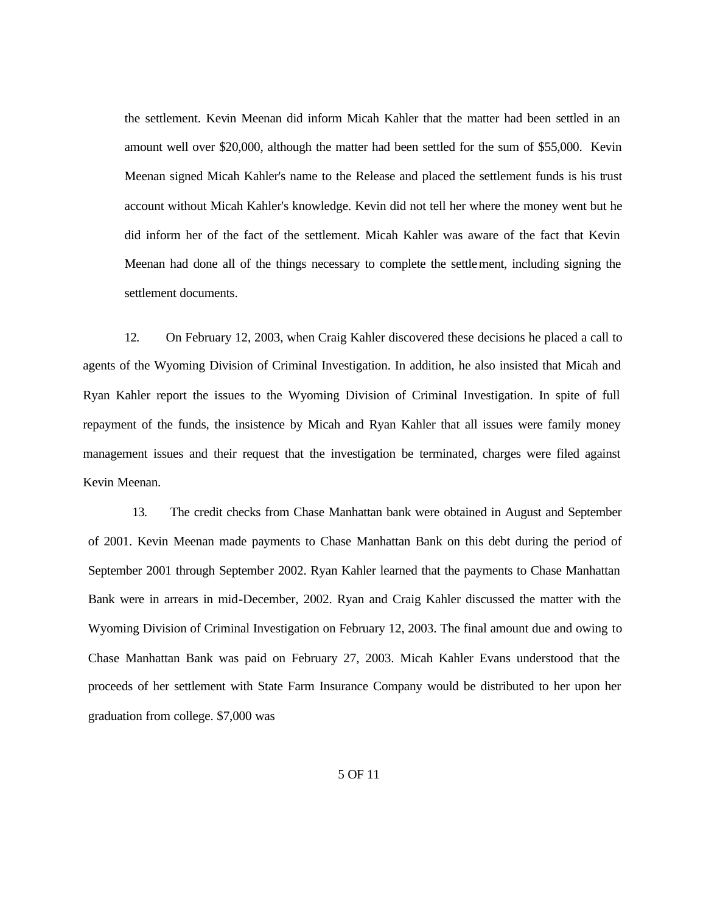the settlement. Kevin Meenan did inform Micah Kahler that the matter had been settled in an amount well over \$20,000, although the matter had been settled for the sum of \$55,000. Kevin Meenan signed Micah Kahler's name to the Release and placed the settlement funds is his trust account without Micah Kahler's knowledge. Kevin did not tell her where the money went but he did inform her of the fact of the settlement. Micah Kahler was aware of the fact that Kevin Meenan had done all of the things necessary to complete the settlement, including signing the settlement documents.

12. On February 12, 2003, when Craig Kahler discovered these decisions he placed a call to agents of the Wyoming Division of Criminal Investigation. In addition, he also insisted that Micah and Ryan Kahler report the issues to the Wyoming Division of Criminal Investigation. In spite of full repayment of the funds, the insistence by Micah and Ryan Kahler that all issues were family money management issues and their request that the investigation be terminated, charges were filed against Kevin Meenan.

13. The credit checks from Chase Manhattan bank were obtained in August and September of 2001. Kevin Meenan made payments to Chase Manhattan Bank on this debt during the period of September 2001 through September 2002. Ryan Kahler learned that the payments to Chase Manhattan Bank were in arrears in mid-December, 2002. Ryan and Craig Kahler discussed the matter with the Wyoming Division of Criminal Investigation on February 12, 2003. The final amount due and owing to Chase Manhattan Bank was paid on February 27, 2003. Micah Kahler Evans understood that the proceeds of her settlement with State Farm Insurance Company would be distributed to her upon her graduation from college. \$7,000 was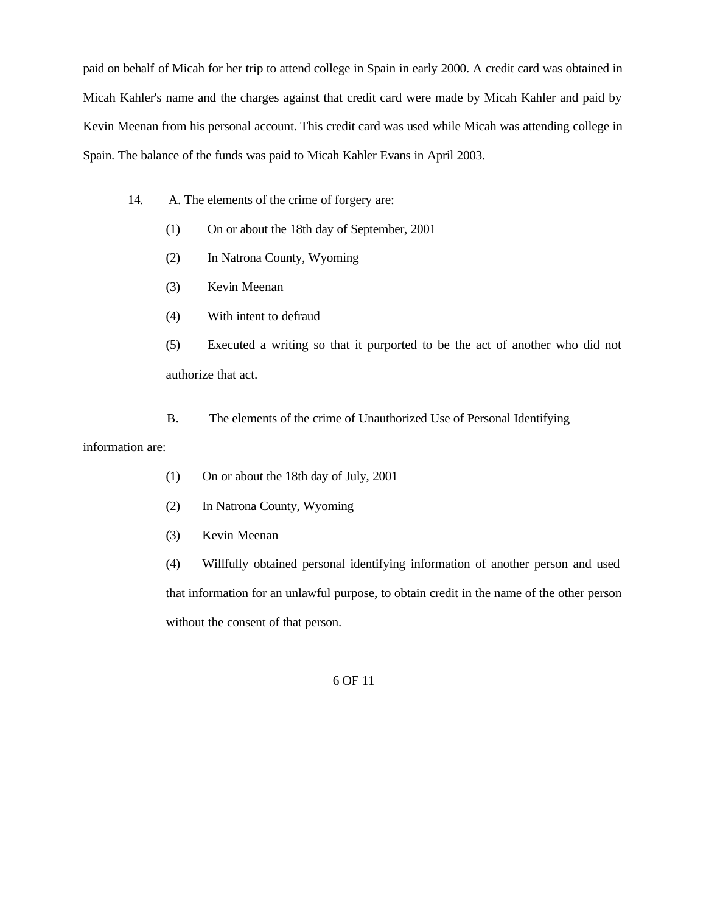paid on behalf of Micah for her trip to attend college in Spain in early 2000. A credit card was obtained in Micah Kahler's name and the charges against that credit card were made by Micah Kahler and paid by Kevin Meenan from his personal account. This credit card was used while Micah was attending college in Spain. The balance of the funds was paid to Micah Kahler Evans in April 2003.

- 14. A. The elements of the crime of forgery are:
	- (1) On or about the 18th day of September, 2001
	- (2) In Natrona County, Wyoming
	- (3) Kevin Meenan
	- (4) With intent to defraud

(5) Executed a writing so that it purported to be the act of another who did not authorize that act.

B. The elements of the crime of Unauthorized Use of Personal Identifying

#### information are:

- (1) On or about the 18th day of July, 2001
- (2) In Natrona County, Wyoming
- (3) Kevin Meenan

(4) Willfully obtained personal identifying information of another person and used that information for an unlawful purpose, to obtain credit in the name of the other person without the consent of that person.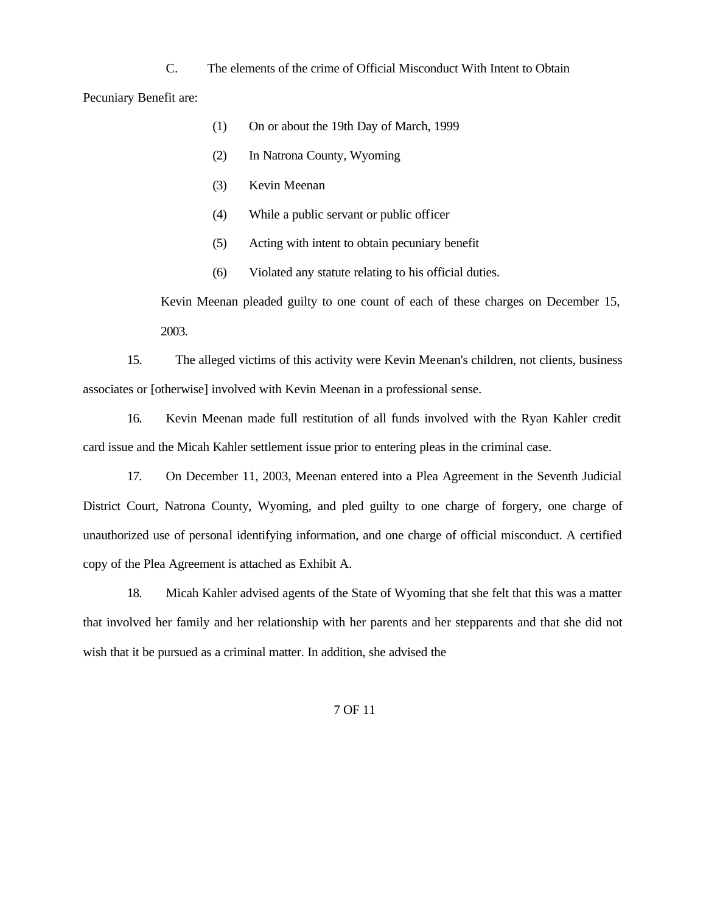C. The elements of the crime of Official Misconduct With Intent to Obtain Pecuniary Benefit are:

- (1) On or about the 19th Day of March, 1999
- (2) In Natrona County, Wyoming
- (3) Kevin Meenan
- (4) While a public servant or public officer
- (5) Acting with intent to obtain pecuniary benefit
- (6) Violated any statute relating to his official duties.

Kevin Meenan pleaded guilty to one count of each of these charges on December 15, 2003.

15. The alleged victims of this activity were Kevin Meenan's children, not clients, business associates or [otherwise] involved with Kevin Meenan in a professional sense.

16. Kevin Meenan made full restitution of all funds involved with the Ryan Kahler credit card issue and the Micah Kahler settlement issue prior to entering pleas in the criminal case.

17. On December 11, 2003, Meenan entered into a Plea Agreement in the Seventh Judicial District Court, Natrona County, Wyoming, and pled guilty to one charge of forgery, one charge of unauthorized use of personal identifying information, and one charge of official misconduct. A certified copy of the Plea Agreement is attached as Exhibit A.

18. Micah Kahler advised agents of the State of Wyoming that she felt that this was a matter that involved her family and her relationship with her parents and her stepparents and that she did not wish that it be pursued as a criminal matter. In addition, she advised the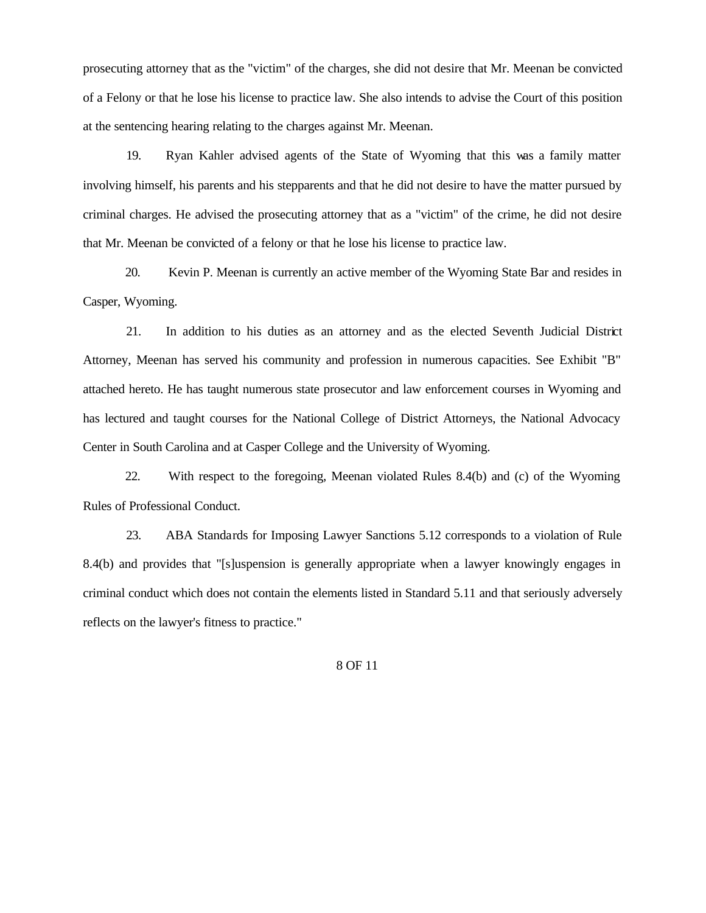prosecuting attorney that as the "victim" of the charges, she did not desire that Mr. Meenan be convicted of a Felony or that he lose his license to practice law. She also intends to advise the Court of this position at the sentencing hearing relating to the charges against Mr. Meenan.

19. Ryan Kahler advised agents of the State of Wyoming that this was a family matter involving himself, his parents and his stepparents and that he did not desire to have the matter pursued by criminal charges. He advised the prosecuting attorney that as a "victim" of the crime, he did not desire that Mr. Meenan be convicted of a felony or that he lose his license to practice law.

20. Kevin P. Meenan is currently an active member of the Wyoming State Bar and resides in Casper, Wyoming.

21. In addition to his duties as an attorney and as the elected Seventh Judicial District Attorney, Meenan has served his community and profession in numerous capacities. See Exhibit "B" attached hereto. He has taught numerous state prosecutor and law enforcement courses in Wyoming and has lectured and taught courses for the National College of District Attorneys, the National Advocacy Center in South Carolina and at Casper College and the University of Wyoming.

22. With respect to the foregoing, Meenan violated Rules 8.4(b) and (c) of the Wyoming Rules of Professional Conduct.

23. ABA Standards for Imposing Lawyer Sanctions 5.12 corresponds to a violation of Rule 8.4(b) and provides that "[s]uspension is generally appropriate when a lawyer knowingly engages in criminal conduct which does not contain the elements listed in Standard 5.11 and that seriously adversely reflects on the lawyer's fitness to practice."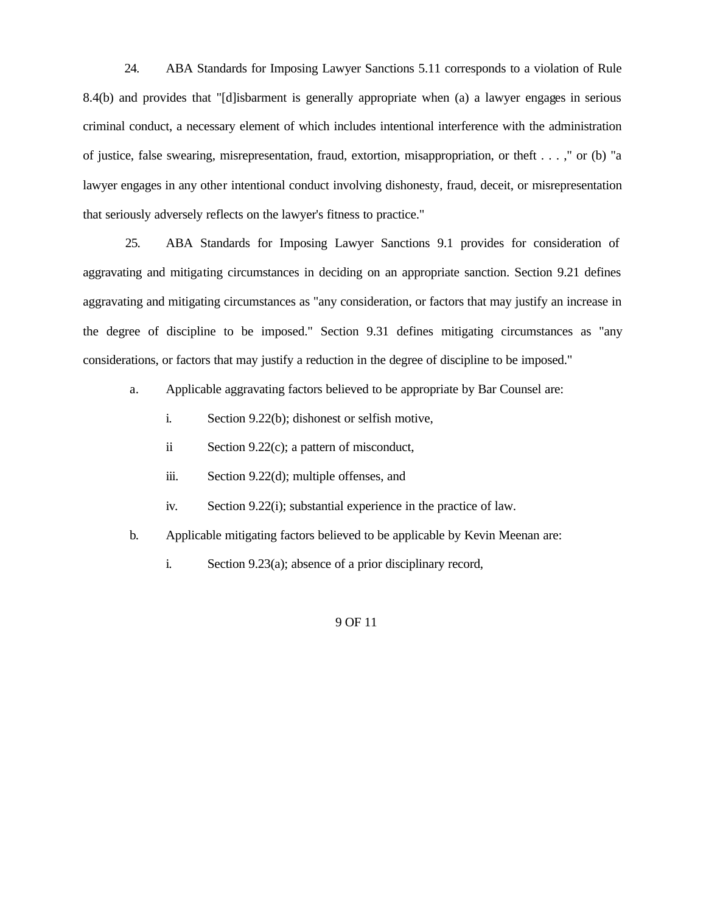24. ABA Standards for Imposing Lawyer Sanctions 5.11 corresponds to a violation of Rule 8.4(b) and provides that "[d]isbarment is generally appropriate when (a) a lawyer engages in serious criminal conduct, a necessary element of which includes intentional interference with the administration of justice, false swearing, misrepresentation, fraud, extortion, misappropriation, or theft . . . ," or (b) "a lawyer engages in any other intentional conduct involving dishonesty, fraud, deceit, or misrepresentation that seriously adversely reflects on the lawyer's fitness to practice."

25. ABA Standards for Imposing Lawyer Sanctions 9.1 provides for consideration of aggravating and mitigating circumstances in deciding on an appropriate sanction. Section 9.21 defines aggravating and mitigating circumstances as "any consideration, or factors that may justify an increase in the degree of discipline to be imposed." Section 9.31 defines mitigating circumstances as "any considerations, or factors that may justify a reduction in the degree of discipline to be imposed."

a. Applicable aggravating factors believed to be appropriate by Bar Counsel are:

- i. Section 9.22(b); dishonest or selfish motive,
- ii Section 9.22(c); a pattern of misconduct,
- iii. Section 9.22(d); multiple offenses, and
- iv. Section 9.22(i); substantial experience in the practice of law.
- b. Applicable mitigating factors believed to be applicable by Kevin Meenan are:
	- i. Section 9.23(a); absence of a prior disciplinary record,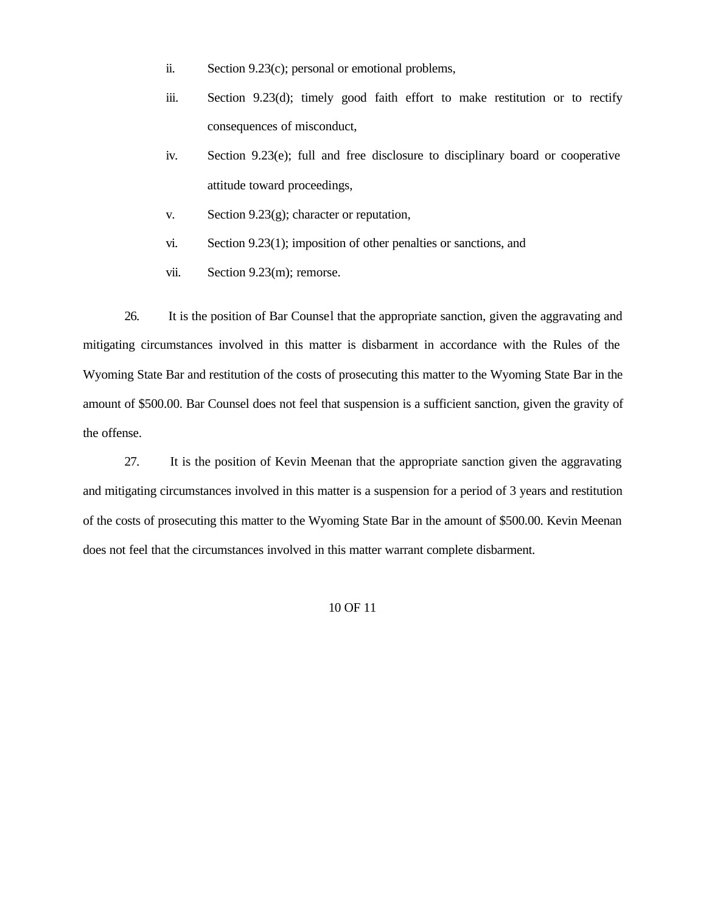- ii. Section 9.23(c); personal or emotional problems,
- iii. Section 9.23(d); timely good faith effort to make restitution or to rectify consequences of misconduct,
- iv. Section 9.23(e); full and free disclosure to disciplinary board or cooperative attitude toward proceedings,
- v. Section 9.23(g); character or reputation,
- vi. Section 9.23(1); imposition of other penalties or sanctions, and
- vii. Section 9.23(m); remorse.

26. It is the position of Bar Counsel that the appropriate sanction, given the aggravating and mitigating circumstances involved in this matter is disbarment in accordance with the Rules of the Wyoming State Bar and restitution of the costs of prosecuting this matter to the Wyoming State Bar in the amount of \$500.00. Bar Counsel does not feel that suspension is a sufficient sanction, given the gravity of the offense.

27. It is the position of Kevin Meenan that the appropriate sanction given the aggravating and mitigating circumstances involved in this matter is a suspension for a period of 3 years and restitution of the costs of prosecuting this matter to the Wyoming State Bar in the amount of \$500.00. Kevin Meenan does not feel that the circumstances involved in this matter warrant complete disbarment.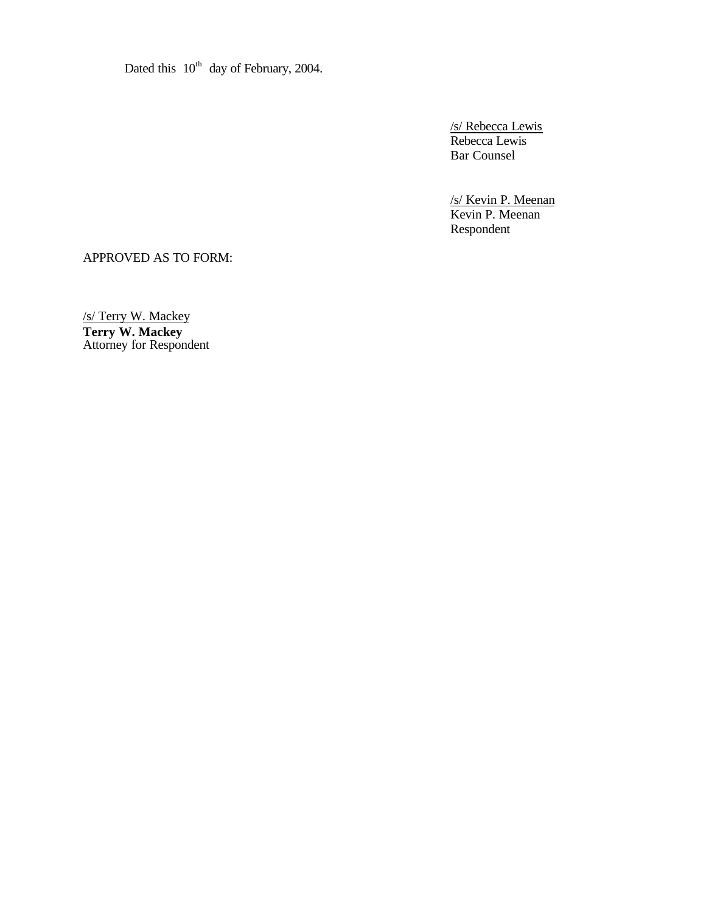Dated this  $10^{th}$  day of February, 2004.

/s/ Rebecca Lewis Rebecca Lewis Bar Counsel

/s/ Kevin P. Meenan Kevin P. Meenan Respondent

APPROVED AS TO FORM:

/s/ Terry W. Mackey **Terry W. Mackey** Attorney for Respondent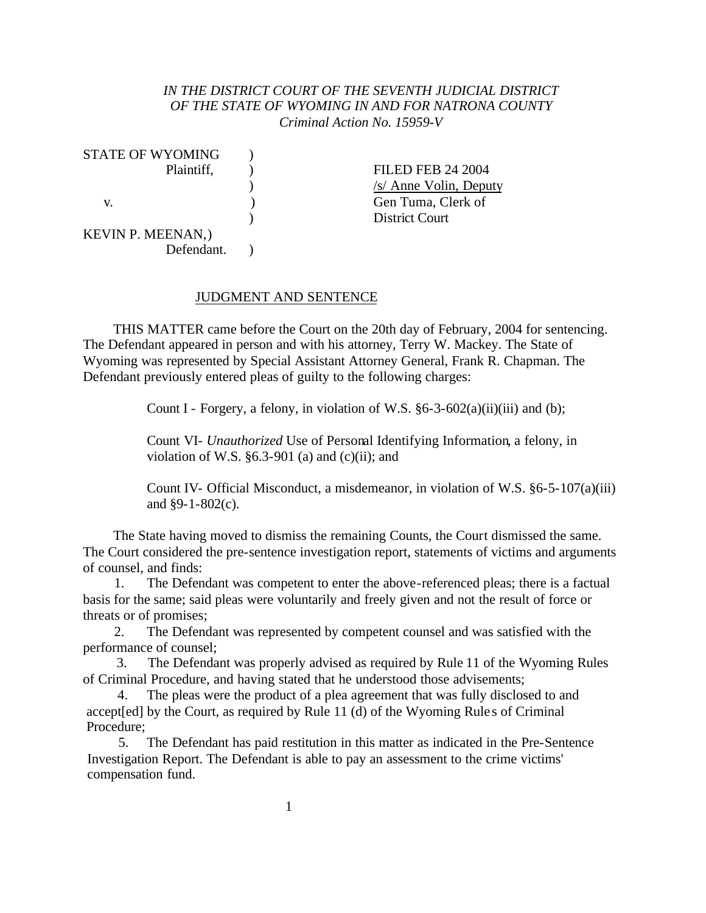## *IN THE DISTRICT COURT OF THE SEVENTH JUDICIAL DISTRICT OF THE STATE OF WYOMING IN AND FOR NATRONA COUNTY Criminal Action No. 15959-V*

| STATE OF WYOMING         |  |
|--------------------------|--|
| Plaintiff,               |  |
|                          |  |
| V.                       |  |
|                          |  |
| <b>KEVIN P. MEENAN,)</b> |  |
| Defendant.               |  |

) FILED FEB 24 2004 ) /s/ Anne Volin, Deputy v. ) Gen Tuma, Clerk of ) District Court

#### JUDGMENT AND SENTENCE

THIS MATTER came before the Court on the 20th day of February, 2004 for sentencing. The Defendant appeared in person and with his attorney, Terry W. Mackey. The State of Wyoming was represented by Special Assistant Attorney General, Frank R. Chapman. The Defendant previously entered pleas of guilty to the following charges:

Count I - Forgery, a felony, in violation of W.S.  $\S 6-3-602(a)(ii)(iii)$  and (b);

Count VI- *Unauthorized* Use of Personal Identifying Information*,* a felony, in violation of W.S.  $\S 6.3-901$  (a) and (c)(ii); and

Count IV- Official Misconduct, a misdemeanor, in violation of W.S. §6-5-107(a)(iii) and §9-1-802(c).

The State having moved to dismiss the remaining Counts, the Court dismissed the same. The Court considered the pre-sentence investigation report, statements of victims and arguments of counsel, and finds:

1. The Defendant was competent to enter the above-referenced pleas; there is a factual basis for the same; said pleas were voluntarily and freely given and not the result of force or threats or of promises;

2. The Defendant was represented by competent counsel and was satisfied with the performance of counsel;

3. The Defendant was properly advised as required by Rule 11 of the Wyoming Rules of Criminal Procedure, and having stated that he understood those advisements;

4. The pleas were the product of a plea agreement that was fully disclosed to and accept[ed] by the Court, as required by Rule 11 (d) of the Wyoming Rule s of Criminal Procedure;

5. The Defendant has paid restitution in this matter as indicated in the Pre-Sentence Investigation Report. The Defendant is able to pay an assessment to the crime victims' compensation fund.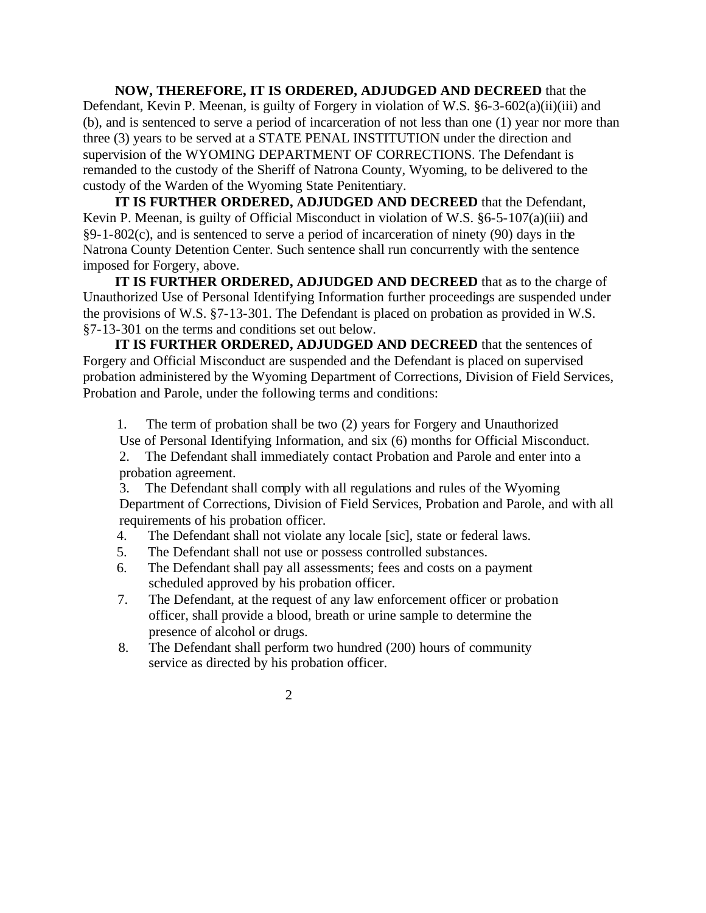**NOW, THEREFORE, IT IS ORDERED, ADJUDGED AND DECREED** that the Defendant, Kevin P. Meenan, is guilty of Forgery in violation of W.S. §6-3-602(a)(ii)(iii) and (b), and is sentenced to serve a period of incarceration of not less than one (1) year nor more than three (3) years to be served at a STATE PENAL INSTITUTION under the direction and supervision of the WYOMING DEPARTMENT OF CORRECTIONS. The Defendant is remanded to the custody of the Sheriff of Natrona County, Wyoming, to be delivered to the custody of the Warden of the Wyoming State Penitentiary.

**IT IS FURTHER ORDERED, ADJUDGED AND DECREED** that the Defendant, Kevin P. Meenan, is guilty of Official Misconduct in violation of W.S. §6-5-107(a)(iii) and §9-1-802(c), and is sentenced to serve a period of incarceration of ninety (90) days in the Natrona County Detention Center. Such sentence shall run concurrently with the sentence imposed for Forgery, above.

**IT IS FURTHER ORDERED, ADJUDGED AND DECREED** that as to the charge of Unauthorized Use of Personal Identifying Information further proceedings are suspended under the provisions of W.S. §7-13-301. The Defendant is placed on probation as provided in W.S. §7-13-301 on the terms and conditions set out below.

**IT IS FURTHER ORDERED, ADJUDGED AND DECREED** that the sentences of Forgery and Official Misconduct are suspended and the Defendant is placed on supervised probation administered by the Wyoming Department of Corrections, Division of Field Services, Probation and Parole, under the following terms and conditions:

1. The term of probation shall be two (2) years for Forgery and Unauthorized

Use of Personal Identifying Information, and six (6) months for Official Misconduct.

2. The Defendant shall immediately contact Probation and Parole and enter into a probation agreement.

3. The Defendant shall comply with all regulations and rules of the Wyoming Department of Corrections, Division of Field Services, Probation and Parole, and with all requirements of his probation officer.

- 4. The Defendant shall not violate any locale [sic], state or federal laws.
- 5. The Defendant shall not use or possess controlled substances.
- 6. The Defendant shall pay all assessments; fees and costs on a payment scheduled approved by his probation officer.
- 7. The Defendant, at the request of any law enforcement officer or probation officer, shall provide a blood, breath or urine sample to determine the presence of alcohol or drugs.
- 8. The Defendant shall perform two hundred (200) hours of community service as directed by his probation officer.